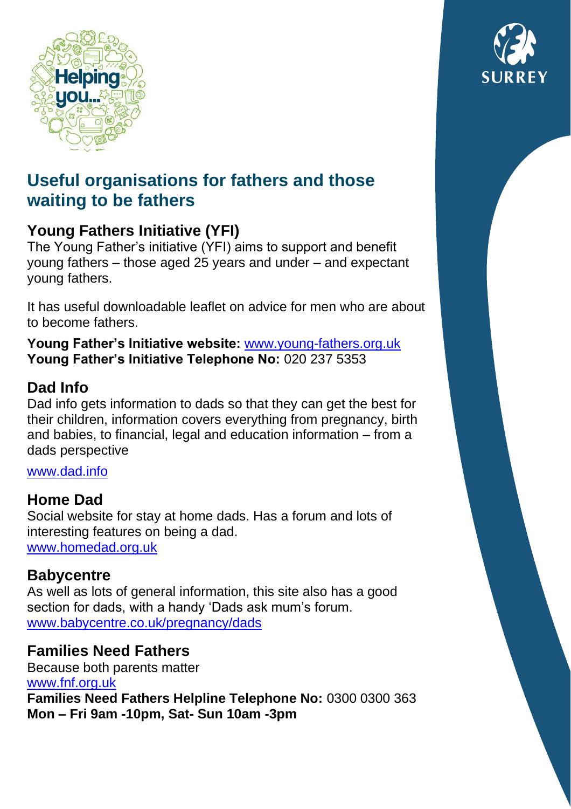

# **Useful organisations for fathers and those waiting to be fathers**

## **Young Fathers Initiative (YFI)**

The Young Father's initiative (YFI) aims to support and benefit young fathers – those aged 25 years and under – and expectant young fathers.

It has useful downloadable leaflet on advice for men who are about to become fathers.

**Young Father's Initiative website:** [www.young-fathers.org.uk](http://www.young-fathers.org.uk/) **Young Father's Initiative Telephone No:** 020 237 5353

### **Dad Info**

Dad info gets information to dads so that they can get the best for their children, information covers everything from pregnancy, birth and babies, to financial, legal and education information – from a dads perspective

[www.dad.info](file://///surreycc.local/home/K/KarenE/Data/My%20Documents/www.dad.info)

#### **Home Dad**

Social website for stay at home dads. Has a forum and lots of interesting features on being a dad. [www.homedad.org.uk](file://///surreycc.local/home/K/KarenE/Data/My%20Documents/www.homedad.org.uk)

#### **Babycentre**

As well as lots of general information, this site also has a good section for dads, with a handy 'Dads ask mum's forum. [www.babycentre.co.uk/pregnancy/dads](file://///surreycc.local/home/K/KarenE/Data/My%20Documents/www.babycentre.co.uk/pregnancy/dads)

### **Families Need Fathers**

Because both parents matter [www.fnf.org.uk](file://///surreycc.local/home/K/KarenE/Data/My%20Documents/www.fnf.org.uk) **Families Need Fathers Helpline Telephone No:** 0300 0300 363 **Mon – Fri 9am -10pm, Sat- Sun 10am -3pm**